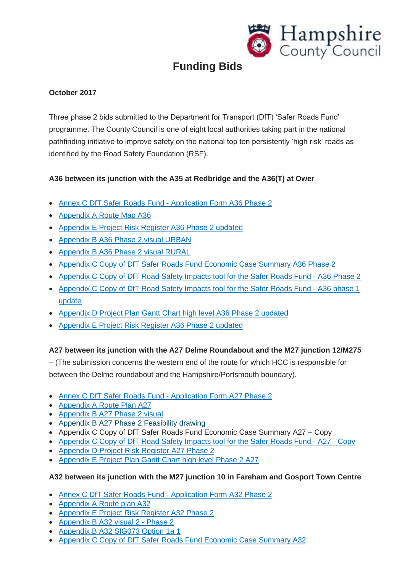

# **Funding Bids**

# **October 2017**

Three phase 2 bids submitted to the Department for Transport (DfT) 'Safer Roads Fund' programme. The County Council is one of eight local authorities taking part in the national pathfinding initiative to improve safety on the national top ten persistently 'high risk' roads as identified by the Road Safety Foundation (RSF).

# **A36 between its junction with the A35 at Redbridge and the A36(T) at Ower**

- Annex C DfT Safer Roads Fund [Application](http://documents.hants.gov.uk/transport-fundingbids/october-2017/AnnexCDfTSaferRoadsFund-ApplicationFormA36Phase2.pdf) Form A36 Phase 2
- [Appendix](http://documents.hants.gov.uk/transport-fundingbids/october-2017/AppendixARouteMapA36.pdf) A Route Map A36
- [Appendix](http://documents.hants.gov.uk/transport-fundingbids/october-2017/AppendixEProjectRiskRegisterA36Phase2updated.pdf) E Project Risk Register A36 Phase 2 updated
- [Appendix](http://documents.hants.gov.uk/transport-fundingbids/october-2017/AppendixBA36Phase2visualURBAN.pdf) B A36 Phase 2 visual URBAN
- [Appendix](http://documents.hants.gov.uk/transport-fundingbids/october-2017/AppendixBA36Phase2visualRURAL.pdf) B A36 Phase 2 visual RURAL
- Appendix C Copy of DfT Safer Roads Fund [Economic](http://documents.hants.gov.uk/transport-fundingbids/october-2017/AppendixCCopyofDfTSaferRoadsFundEconomicCaseSummaryA36Phase2.xlsx) Case Summary A36 Phase 2
- [Appendix](http://documents.hants.gov.uk/transport-fundingbids/october-2017/AppendixCCopyofDfTRoadSafetyImpactstoolfortheSaferRoadsFund-A36Phase2.xlsx) C Copy of DfT Road Safety Impacts tool for the Safer Roads Fund A36 Phase 2
- [Appendix](http://documents.hants.gov.uk/transport-fundingbids/october-2017/AppendixCCopyofDfTRoadSafetyImpactstoolfortheSaferRoadsFund-A36phase1update.xlsx) C Copy of DfT Road Safety Impacts tool for the Safer Roads Fund A36 phase 1 [update](http://documents.hants.gov.uk/transport-fundingbids/october-2017/AppendixCCopyofDfTRoadSafetyImpactstoolfortheSaferRoadsFund-A36phase1update.xlsx)
- [Appendix](http://documents.hants.gov.uk/transport-fundingbids/october-2017/AppendixDProjectPlanGanttCharthighlevelA36Phase2updated.pdf) D Project Plan Gantt Chart high level A36 Phase 2 updated
- [Appendix](http://documents.hants.gov.uk/transport-fundingbids/october-2017/AppendixEProjectRiskRegisterA36Phase2updated.pdf) E Project Risk Register A36 Phase 2 updated

# **A27 between its junction with the A27 Delme Roundabout and the M27 junction 12/M275**

– (The submission concerns the western end of the route for which HCC is responsible for between the Delme roundabout and the Hampshire/Portsmouth boundary).

- Annex C DfT Safer Roads Fund [Application](http://documents.hants.gov.uk/transport-fundingbids/october-2017/AnnexCDfTSaferRoadsFund-ApplicationFormA27Phase2.pdf) Form A27 Phase 2
- [Appendix](http://documents.hants.gov.uk/transport-fundingbids/october-2017/AppendixARoutePlanA27.pdf) A Route Plan A27
- [Appendix](http://documents.hants.gov.uk/transport-fundingbids/october-2017/AppendixBA27Phase2visual.pdf) B A27 Phase 2 visual
- Appendix B A27 Phase 2 [Feasibility](http://documents.hants.gov.uk/transport-fundingbids/october-2017/AppendixBA27Phase2Feasibilitydrawing.pdf) drawing
- Appendix C Copy of DfT Safer Roads Fund Economic Case Summary A27 Copy
- [Appendix](http://documents.hants.gov.uk/transport-fundingbids/october-2017/AppendixCCopyofDfTRoadSafetyImpactstoolfortheSaferRoadsFund-A27-Copy.xlsx) C Copy of DfT Road Safety Impacts tool for the Safer Roads Fund A27 Copy
- [Appendix](http://documents.hants.gov.uk/transport-fundingbids/october-2017/AppendixDProjectRiskRegisterA27Phase2.pdf) D Project Risk Register A27 Phase 2
- [Appendix](http://documents.hants.gov.uk/transport-fundingbids/october-2017/AppendixEProjectPlanGanttCharthighlevelPhase2A27.pdf) E Project Plan Gantt Chart high level Phase 2 A27

# **A32 between its junction with the M27 junction 10 in Fareham and Gosport Town Centre**

- Annex C DfT Safer Roads Fund [Application](http://documents.hants.gov.uk/transport-fundingbids/october-2017/AnnexCDfTSaferRoadsFund-ApplicationFormA32Phase2.pdf) Form A32 Phase 2
- [Appendix](http://documents.hants.gov.uk/transport-fundingbids/october-2017/AppendixARouteplanA32.pdf) A Route plan A32
- [Appendix](http://documents.hants.gov.uk/transport-fundingbids/october-2017/AppendixEProjectRiskRegisterA32Phase2.pdf) E Project Risk Register A32 Phase 2
- [Appendix](http://documents.hants.gov.uk/transport-fundingbids/october-2017/AppendixBA32visual2-Phase2.pdf) B A32 visual 2 Phase 2
- [Appendix](http://documents.hants.gov.uk/transport-fundingbids/october-2017/AppendixBA32SIG073Option1a1.pdf) B A32 SIG073 Option 1a 1
- Appendix C Copy of DfT Safer Roads Fund [Economic](http://documents.hants.gov.uk/transport-fundingbids/october-2017/AppendixCCopyofDfTSaferRoadsFundEconomicCaseSummaryA32.xlsx) Case Summary A32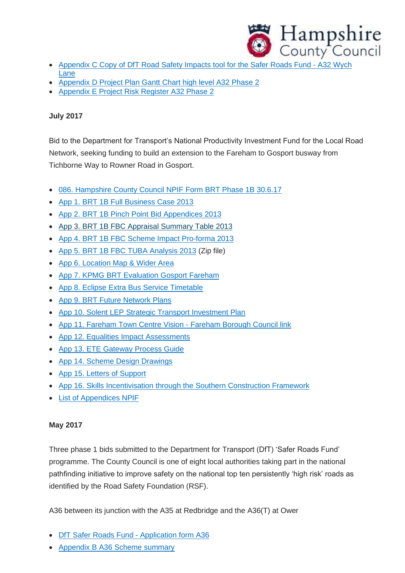

- [Appendix](http://documents.hants.gov.uk/transport-fundingbids/october-2017/AppendixCCopyofDfTRoadSafetyImpactstoolfortheSaferRoadsFund-A32WychLane.xlsx) C Copy of DfT Road Safety Impacts tool for the Safer Roads Fund A32 Wych [Lane](http://documents.hants.gov.uk/transport-fundingbids/october-2017/AppendixCCopyofDfTRoadSafetyImpactstoolfortheSaferRoadsFund-A32WychLane.xlsx)
- [Appendix](http://documents.hants.gov.uk/transport-fundingbids/october-2017/AppendixDProjectPlanGanttCharthighlevelA32Phase2.pdf) D Project Plan Gantt Chart high level A32 Phase 2
- [Appendix](http://documents.hants.gov.uk/transport-fundingbids/october-2017/AppendixEProjectRiskRegisterA32Phase2.pdf) E Project Risk Register A32 Phase 2

## **July 2017**

Bid to the Department for Transport's National Productivity Investment Fund for the Local Road Network, seeking funding to build an extension to the Fareham to Gosport busway from Tichborne Way to Rowner Road in Gosport.

- 086. [Hampshire](http://documents.hants.gov.uk/transport-fundingbids/july-2017/086HampshireCountyCouncilNPIFFormBRTPhase1B30617.pdf) County Council NPIF Form BRT Phase 1B 30.6.17
- App 1. BRT 1B Full [Business](http://documents.hants.gov.uk/transport-fundingbids/july-2017/App1BRT1BFullBusinessCase2013.pdf) Case 2013
- App 2. BRT 1B Pinch Point Bid [Appendices](http://documents.hants.gov.uk/transport-fundingbids/july-2017/App2BRT1BPinchPointBidAppendices2013.pdf) 2013
- App 3. BRT 1B FBC Appraisal [Summary](http://documents.hants.gov.uk/transport-fundingbids/july-2017/App3BRT1BFBCAppraisalSummaryTable2013.xlsm) Table 2013
- App 4. BRT 1B FBC Scheme Impact [Pro-forma](http://documents.hants.gov.uk/transport-fundingbids/july-2017/App4BRT1BFBCSchemeImpactPro-forma2013.xlsx) 2013
- App 5. BRT 1B FBC TUBA [Analysis](http://documents.hants.gov.uk/transport-fundingbids/july-2017/App5BRT1BFBCTUBAAnalysis2013.zip) 2013 (Zip file)
- App 6. [Location](http://documents.hants.gov.uk/transport-fundingbids/july-2017/App6LocationMapWiderArea.pdf) Map & Wider Area
- App 7. KPMG BRT [Evaluation](http://documents.hants.gov.uk/transport-fundingbids/july-2017/App7KPMGBRTEvaluationGosportFareham.pdf) Gosport Fareham
- App 8. Eclipse Extra Bus Service [Timetable](http://documents.hants.gov.uk/transport-fundingbids/july-2017/App8EclipseExtraBusServiceTimetable.pdf)
- App 9. BRT Future [Network](http://documents.hants.gov.uk/transport-fundingbids/july-2017/App9BRTFutureNetworkPlans.pdf) Plans
- App 10. Solent LEP Strategic Transport [Investment](http://documents.hants.gov.uk/transport-fundingbids/july-2017/App10SolentLEPStrategicTransportInvestmentPlan.pdf) Plan
- App 11. Fareham Town Centre Vision [Fareham](http://documents.hants.gov.uk/transport-fundingbids/july-2017/App11FarehamTownCentreVision-FarehamBoroughCouncillink.pdf) Borough Council link
- App 12. Equalities Impact [Assessments](http://documents.hants.gov.uk/transport-fundingbids/july-2017/App12EqualitiesImpactAssessments.pdf)
- App 13. ETE [Gateway](http://documents.hants.gov.uk/transport-fundingbids/july-2017/App13ETEGatewayProcessGuide.pdf) Process Guide
- App 14. Scheme Design [Drawings](http://documents.hants.gov.uk/transport-fundingbids/july-2017/App14SchemeDesignDrawings.pdf)
- App 15. Letters of [Support](http://documents.hants.gov.uk/transport-fundingbids/july-2017/App15LettersofSupport.pdf)
- App 16. Skills [Incentivisation](http://documents.hants.gov.uk/transport-fundingbids/july-2017/App16SkillsIncentivisationthroughtheSouthernConstructionFramework.pdf) through the Southern Construction Framework
- List of [Appendices](http://documents.hants.gov.uk/transport-fundingbids/july-2017/ListofAppendicesNPIF.pdf) NPIF

# **May 2017**

Three phase 1 bids submitted to the Department for Transport (DfT) 'Safer Roads Fund' programme. The County Council is one of eight local authorities taking part in the national pathfinding initiative to improve safety on the national top ten persistently 'high risk' roads as identified by the Road Safety Foundation (RSF).

A36 between its junction with the A35 at Redbridge and the A36(T) at Ower

- DfT Safer Roads Fund [Application](http://documents.hants.gov.uk/transport-fundingbids/DfTSaferRoadsFund-ApplicationformA36.pdf) form A36
- [Appendix](http://documents.hants.gov.uk/transport-fundingbids/AppendixBA36Schemesummary.pdf) B A36 Scheme summary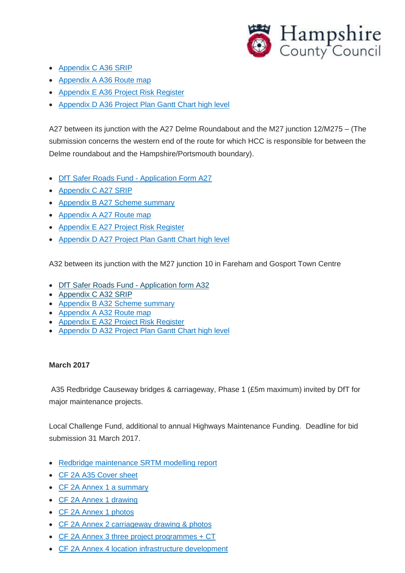

- [Appendix](http://documents.hants.gov.uk/transport-fundingbids/AppendixCA36SRIP.pdf) C A36 SRIP
- [Appendix](http://documents.hants.gov.uk/transport-fundingbids/AppendixAA36Routemap.pdf) A A36 Route map
- [Appendix](http://documents.hants.gov.uk/transport-fundingbids/AppendixEA36ProjectRiskRegister.pdf) E A36 Project Risk Register
- [Appendix](http://documents.hants.gov.uk/transport-fundingbids/AppendixDA36ProjectPlanGanttCharthighlevel.pdf) D A36 Project Plan Gantt Chart high level

A27 between its junction with the A27 Delme Roundabout and the M27 junction 12/M275 – (The submission concerns the western end of the route for which HCC is responsible for between the Delme roundabout and the Hampshire/Portsmouth boundary).

- DfT Safer Roads Fund [Application](http://documents.hants.gov.uk/transport-fundingbids/DfTSaferRoadsFund-ApplicationFormA27.pdf) Form A27
- [Appendix](http://documents.hants.gov.uk/transport-fundingbids/AppendixCA27SRIP.pdf) C A27 SRIP
- [Appendix](http://documents.hants.gov.uk/transport-fundingbids/AppendixBA27Schemesummary.pdf) B A27 Scheme summary
- [Appendix](http://documents.hants.gov.uk/transport-fundingbids/AppendixAA27Routemap.pdf) A A27 Route map
- [Appendix](http://documents.hants.gov.uk/transport-fundingbids/AppendixEA27ProjectRiskRegister.pdf) E A27 Project Risk Register
- [Appendix](http://documents.hants.gov.uk/transport-fundingbids/AppendixDA27ProjectPlanGanttCharthighlevel.pdf) D A27 Project Plan Gantt Chart high level

A32 between its junction with the M27 junction 10 in Fareham and Gosport Town Centre

- DfT Safer Roads Fund [Application](http://documents.hants.gov.uk/transport-fundingbids/DfTSaferRoadsFund-ApplicationformA32.pdf) form A32
- [Appendix](http://documents.hants.gov.uk/transport-fundingbids/AppendixCA32SRIP.pdf) C A32 SRIP
- [Appendix](http://documents.hants.gov.uk/transport-fundingbids/AppendixBA32Schemesummary.pdf) B A32 Scheme summary
- [Appendix](http://documents.hants.gov.uk/transport-fundingbids/AppendixAA32Routemap.pdf) A A32 Route map
- [Appendix](http://documents.hants.gov.uk/transport-fundingbids/AppendixEA32ProjectRiskRegister.pdf) E A32 Project Risk Register
- [Appendix](http://documents.hants.gov.uk/transport-fundingbids/AppendixDA32ProjectPlanGanttCharthighlevel.pdf) D A32 Project Plan Gantt Chart high level

#### **March 2017**

A35 Redbridge Causeway bridges & carriageway, Phase 1 (£5m maximum) invited by DfT for major maintenance projects.

Local Challenge Fund, additional to annual Highways Maintenance Funding. Deadline for bid submission 31 March 2017.

- Redbridge [maintenance](http://documents.hants.gov.uk/transport-fundingbids/redbridgecausewaymaintenance.pdf) SRTM modelling report
- CF 2A A35 [Cover](http://documents.hants.gov.uk/transport-fundingbids/CF2AA35COVERSHEET.docx) sheet
- CF 2A Annex 1 a [summary](http://documents.hants.gov.uk/transport-fundingbids/CF2AANNEX1asummary.docx)
- CF 2A Annex 1 [drawing](http://documents.hants.gov.uk/transport-fundingbids/CF2AANNEX1drawing.pdf)
- CF 2A Annex 1 [photos](http://documents.hants.gov.uk/transport-fundingbids/CF2AANNEX1photos.docx)
- CF 2A Annex 2 [carriageway](http://documents.hants.gov.uk/transport-fundingbids/CF2AANNEX2carriagewaydrawingphotos.docx) drawing & photos
- CF 2A Annex 3 three project [programmes](http://documents.hants.gov.uk/transport-fundingbids/CF2AANNEX3threeprojectprogrammesCT.xlsx) + CT
- CF 2A Annex 4 location [infrastructure](http://documents.hants.gov.uk/transport-fundingbids/CF2AANNEX4locationinfrastructuredevelopment.pdf) development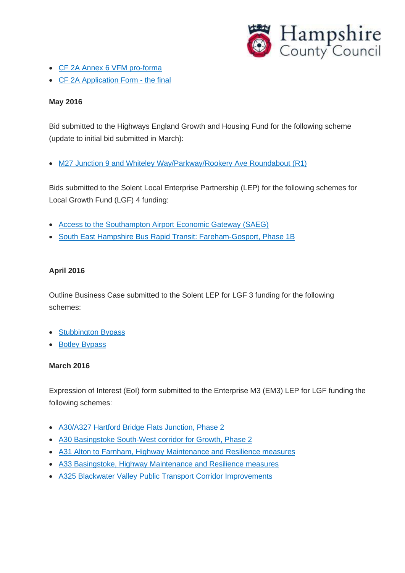

- CF 2A Annex 6 VFM [pro-forma](http://documents.hants.gov.uk/transport-fundingbids/CF2AANNEX6VFMpro-forma.xls)
- CF 2A [Application](http://documents.hants.gov.uk/transport-fundingbids/CF2AAPPLICATIONFORM-thefinal.pdf) Form the final

### **May 2016**

Bid submitted to the Highways England Growth and Housing Fund for the following scheme (update to initial bid submitted in March):

• M27 Junction 9 and Whiteley [Way/Parkway/Rookery](http://documents.hants.gov.uk/transport-fundingbids/GHFEXTERNALPROPOSALFORM13052016-M27J9WhiteleyR1.pdf) Ave Roundabout (R1)

Bids submitted to the Solent Local Enterprise Partnership (LEP) for the following schemes for Local Growth Fund (LGF) 4 funding:

- Access to the [Southampton](http://documents.hants.gov.uk/transport-fundingbids/AccesstoSouthamptonAirportEconomicGateway-OBCLGF12516.pdf) Airport Economic Gateway (SAEG)
- South East Hampshire Bus Rapid Transit: [Fareham-Gosport,](http://documents.hants.gov.uk/transport-fundingbids/BRT1BLGFOutlineBusinessCase12516.pdf) Phase 1B

# **April 2016**

Outline Business Case submitted to the Solent LEP for LGF 3 funding for the following schemes:

- [Stubbington](http://documents.hants.gov.uk/transport-fundingbids/StubbingtonBusinessCase27416.pdf) Bypass
- Botley [Bypass](http://documents.hants.gov.uk/transport-fundingbids/BotleyBusinessCaseMergedFull26-04-16.pdf)

#### **March 2016**

Expression of Interest (EoI) form submitted to the Enterprise M3 (EM3) LEP for LGF funding the following schemes:

- [A30/A327](http://documents.hants.gov.uk/transport-fundingbids/EnterpriseM3LGF3EoIHartfordBridgeFlats300316.pdf) Hartford Bridge Flats Junction, Phase 2
- A30 [Basingstoke](http://documents.hants.gov.uk/transport-fundingbids/EM3LEPEoI-A30Basingstoke300316.pdf) South-West corridor for Growth, Phase 2
- A31 Alton to Farnham, Highway [Maintenance](http://documents.hants.gov.uk/transport-fundingbids/EnterpriseM3LGF3EoIA3130316.pdf) and Resilience measures
- A33 Basingstoke, Highway [Maintenance](http://documents.hants.gov.uk/transport-fundingbids/EnterpriseM3LGF3EoIA3330316.pdf) and Resilience measures
- A325 Blackwater Valley Public Transport Corridor [Improvements](http://documents.hants.gov.uk/transport-fundingbids/EM3LEPEoIA325Corridor300316.pdf)